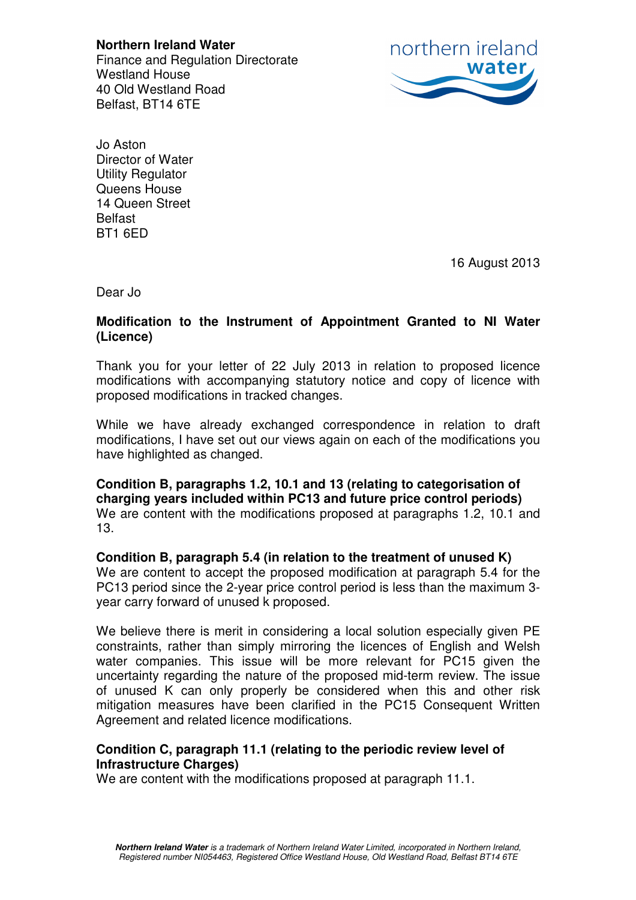**Northern Ireland Water**  Finance and Regulation Directorate Westland House 40 Old Westland Road Belfast, BT14 6TE



Jo Aston Director of Water Utility Regulator Queens House 14 Queen Street **Belfast** BT1 6ED

16 August 2013

Dear Jo

## **Modification to the Instrument of Appointment Granted to NI Water (Licence)**

Thank you for your letter of 22 July 2013 in relation to proposed licence modifications with accompanying statutory notice and copy of licence with proposed modifications in tracked changes.

While we have already exchanged correspondence in relation to draft modifications, I have set out our views again on each of the modifications you have highlighted as changed.

**Condition B, paragraphs 1.2, 10.1 and 13 (relating to categorisation of charging years included within PC13 and future price control periods)**  We are content with the modifications proposed at paragraphs 1.2, 10.1 and 13.

## **Condition B, paragraph 5.4 (in relation to the treatment of unused K)**  We are content to accept the proposed modification at paragraph 5.4 for the

PC13 period since the 2-year price control period is less than the maximum 3 year carry forward of unused k proposed.

We believe there is merit in considering a local solution especially given PE constraints, rather than simply mirroring the licences of English and Welsh water companies. This issue will be more relevant for PC15 given the uncertainty regarding the nature of the proposed mid-term review. The issue of unused K can only properly be considered when this and other risk mitigation measures have been clarified in the PC15 Consequent Written Agreement and related licence modifications.

## **Condition C, paragraph 11.1 (relating to the periodic review level of Infrastructure Charges)**

We are content with the modifications proposed at paragraph 11.1.